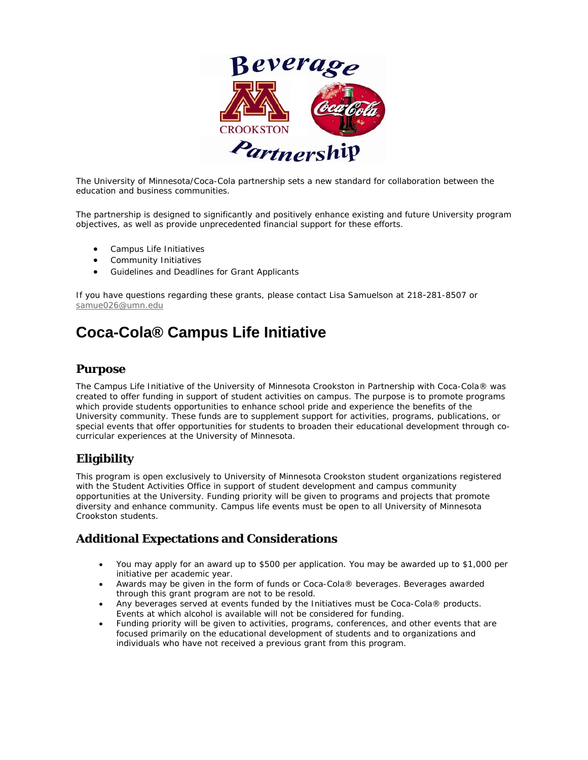

The University of Minnesota/Coca-Cola partnership sets a new standard for collaboration between the education and business communities.

The partnership is designed to significantly and positively enhance existing and future University program objectives, as well as provide unprecedented financial support for these efforts.

- Campus Life Initiatives
- Community Initiatives
- Guidelines and Deadlines for Grant Applicants

If you have questions regarding these grants, please contact Lisa Samuelson at 218-281-8507 or [samue026@umn.edu](mailto:samue026@umn.edu)

# **Coca-Cola® Campus Life Initiative**

#### **Purpose**

The Campus Life Initiative of the University of Minnesota Crookston in Partnership with Coca-Cola® was created to offer funding in support of student activities on campus. The purpose is to promote programs which provide students opportunities to enhance school pride and experience the benefits of the University community. These funds are to supplement support for activities, programs, publications, or special events that offer opportunities for students to broaden their educational development through cocurricular experiences at the University of Minnesota.

### **Eligibility**

This program is open exclusively to University of Minnesota Crookston student organizations registered with the Student Activities Office in support of student development and campus community opportunities at the University. Funding priority will be given to programs and projects that promote diversity and enhance community. Campus life events must be open to all University of Minnesota Crookston students.

### **Additional Expectations and Considerations**

- You may apply for an award up to \$500 per application. You may be awarded up to \$1,000 per initiative per academic year.
- Awards may be given in the form of funds or Coca-Cola® beverages. Beverages awarded through this grant program are not to be resold.
- Any beverages served at events funded by the Initiatives must be  $Coca-Cola@$  products. Events at which alcohol is available will not be considered for funding.
- Funding priority will be given to activities, programs, conferences, and other events that are focused primarily on the educational development of students and to organizations and individuals who have not received a previous grant from this program.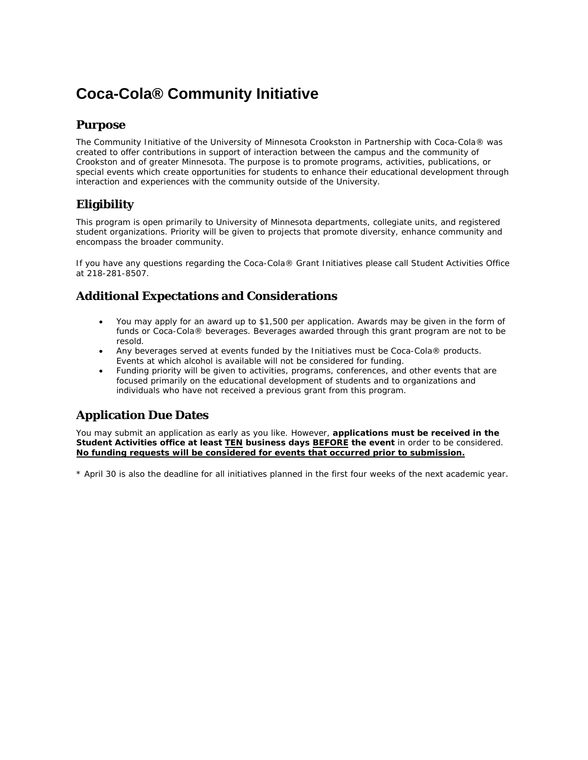# **Coca-Cola® Community Initiative**

#### **Purpose**

The Community Initiative of the University of Minnesota Crookston in Partnership with Coca-Cola® was created to offer contributions in support of interaction between the campus and the community of Crookston and of greater Minnesota. The purpose is to promote programs, activities, publications, or special events which create opportunities for students to enhance their educational development through interaction and experiences with the community outside of the University.

# **Eligibility**

This program is open primarily to University of Minnesota departments, collegiate units, and registered student organizations. Priority will be given to projects that promote diversity, enhance community and encompass the broader community.

If you have any questions regarding the Coca-Cola® Grant Initiatives please call Student Activities Office at 218-281-8507.

# **Additional Expectations and Considerations**

- You may apply for an award up to \$1,500 per application. Awards may be given in the form of funds or Coca-Cola® beverages. Beverages awarded through this grant program are not to be resold.
- Any beverages served at events funded by the Initiatives must be  $Coca-Cola@$  products. Events at which alcohol is available will not be considered for funding.
- Funding priority will be given to activities, programs, conferences, and other events that are focused primarily on the educational development of students and to organizations and individuals who have not received a previous grant from this program.

# **Application Due Dates**

You may submit an application as early as you like. However, **applications must be received in the Student Activities office at least TEN business days BEFORE the event** in order to be considered. **No funding requests will be considered for events that occurred prior to submission.**

\* April 30 is also the deadline for all initiatives planned in the first four weeks of the next academic year.